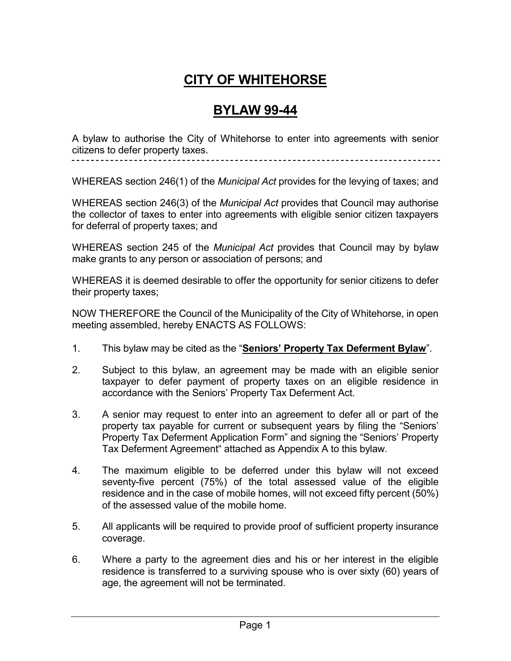# **CITY OF WHITEHORSE**

## **BYLAW 99-44**

A bylaw to authorise the City of Whitehorse to enter into agreements with senior citizens to defer property taxes.

WHEREAS section 246(1) of the *Municipal Act* provides for the levying of taxes; and

WHEREAS section 246(3) of the *Municipal Act* provides that Council may authorise the collector of taxes to enter into agreements with eligible senior citizen taxpayers for deferral of property taxes; and

WHEREAS section 245 of the *Municipal Act* provides that Council may by bylaw make grants to any person or association of persons; and

WHEREAS it is deemed desirable to offer the opportunity for senior citizens to defer their property taxes;

NOW THEREFORE the Council of the Municipality of the City of Whitehorse, in open meeting assembled, hereby ENACTS AS FOLLOWS:

- 1. This bylaw may be cited as the "**Seniors' Property Tax Deferment Bylaw**".
- 2. Subject to this bylaw, an agreement may be made with an eligible senior taxpayer to defer payment of property taxes on an eligible residence in accordance with the Seniors' Property Tax Deferment Act.
- 3. A senior may request to enter into an agreement to defer all or part of the property tax payable for current or subsequent years by filing the "Seniors' Property Tax Deferment Application Form" and signing the "Seniors' Property Tax Deferment Agreement" attached as Appendix A to this bylaw.
- 4. The maximum eligible to be deferred under this bylaw will not exceed seventy-five percent (75%) of the total assessed value of the eligible residence and in the case of mobile homes, will not exceed fifty percent (50%) of the assessed value of the mobile home.
- 5. All applicants will be required to provide proof of sufficient property insurance coverage.
- 6. Where a party to the agreement dies and his or her interest in the eligible residence is transferred to a surviving spouse who is over sixty (60) years of age, the agreement will not be terminated.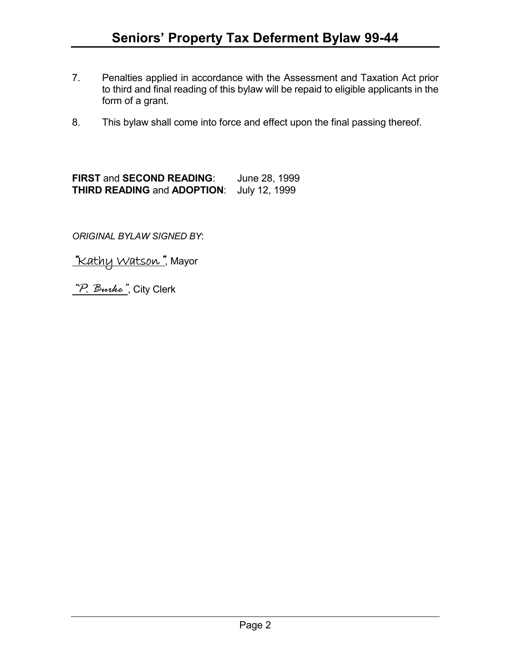- 7. Penalties applied in accordance with the Assessment and Taxation Act prior to third and final reading of this bylaw will be repaid to eligible applicants in the form of a grant.
- 8. This bylaw shall come into force and effect upon the final passing thereof.

**FIRST** and **SECOND READING**: June 28, 1999 **THIRD READING** and **ADOPTION**: July 12, 1999

*ORIGINAL BYLAW SIGNED BY*:

*"*Kathy Watson*"*, Mayor

*"P. Burke"*, City Clerk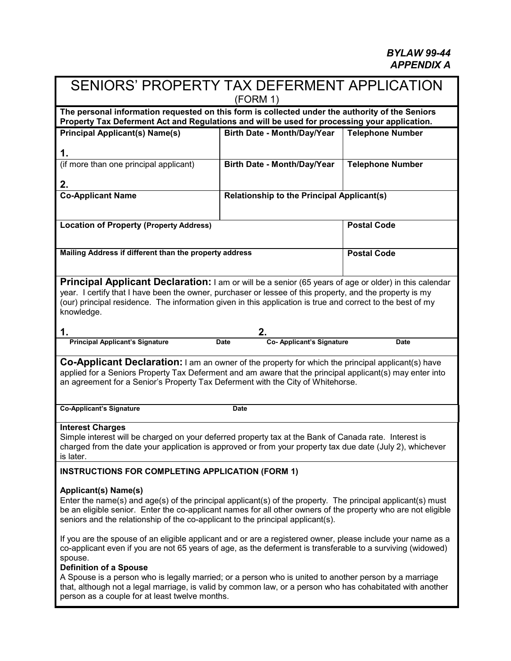$\blacksquare$ 

| SENIORS' PROPERTY TAX DEFERMENT APPLICATION<br>(FORM 1)                                                                                                                                                                                                                                                                                                                                                                                                                                       |                                                   |                         |  |  |  |  |  |
|-----------------------------------------------------------------------------------------------------------------------------------------------------------------------------------------------------------------------------------------------------------------------------------------------------------------------------------------------------------------------------------------------------------------------------------------------------------------------------------------------|---------------------------------------------------|-------------------------|--|--|--|--|--|
| The personal information requested on this form is collected under the authority of the Seniors<br>Property Tax Deferment Act and Regulations and will be used for processing your application.                                                                                                                                                                                                                                                                                               |                                                   |                         |  |  |  |  |  |
| <b>Principal Applicant(s) Name(s)</b>                                                                                                                                                                                                                                                                                                                                                                                                                                                         | Birth Date - Month/Day/Year                       | <b>Telephone Number</b> |  |  |  |  |  |
| 1.                                                                                                                                                                                                                                                                                                                                                                                                                                                                                            |                                                   |                         |  |  |  |  |  |
| (if more than one principal applicant)                                                                                                                                                                                                                                                                                                                                                                                                                                                        | Birth Date - Month/Day/Year                       | <b>Telephone Number</b> |  |  |  |  |  |
| 2.                                                                                                                                                                                                                                                                                                                                                                                                                                                                                            |                                                   |                         |  |  |  |  |  |
| <b>Co-Applicant Name</b>                                                                                                                                                                                                                                                                                                                                                                                                                                                                      | <b>Relationship to the Principal Applicant(s)</b> |                         |  |  |  |  |  |
|                                                                                                                                                                                                                                                                                                                                                                                                                                                                                               |                                                   |                         |  |  |  |  |  |
| <b>Location of Property (Property Address)</b>                                                                                                                                                                                                                                                                                                                                                                                                                                                |                                                   | <b>Postal Code</b>      |  |  |  |  |  |
|                                                                                                                                                                                                                                                                                                                                                                                                                                                                                               |                                                   |                         |  |  |  |  |  |
| Mailing Address if different than the property address                                                                                                                                                                                                                                                                                                                                                                                                                                        | <b>Postal Code</b>                                |                         |  |  |  |  |  |
|                                                                                                                                                                                                                                                                                                                                                                                                                                                                                               |                                                   |                         |  |  |  |  |  |
| Principal Applicant Declaration: I am or will be a senior (65 years of age or older) in this calendar<br>year. I certify that I have been the owner, purchaser or lessee of this property, and the property is my                                                                                                                                                                                                                                                                             |                                                   |                         |  |  |  |  |  |
| (our) principal residence. The information given in this application is true and correct to the best of my                                                                                                                                                                                                                                                                                                                                                                                    |                                                   |                         |  |  |  |  |  |
| knowledge.                                                                                                                                                                                                                                                                                                                                                                                                                                                                                    |                                                   |                         |  |  |  |  |  |
| 1.                                                                                                                                                                                                                                                                                                                                                                                                                                                                                            | 2.                                                |                         |  |  |  |  |  |
| <b>Principal Applicant's Signature</b>                                                                                                                                                                                                                                                                                                                                                                                                                                                        | Co- Applicant's Signature<br><b>Date</b>          | <b>Date</b>             |  |  |  |  |  |
| <b>Co-Applicant Declaration:</b> I am an owner of the property for which the principal applicant(s) have<br>applied for a Seniors Property Tax Deferment and am aware that the principal applicant(s) may enter into<br>an agreement for a Senior's Property Tax Deferment with the City of Whitehorse.                                                                                                                                                                                       |                                                   |                         |  |  |  |  |  |
|                                                                                                                                                                                                                                                                                                                                                                                                                                                                                               |                                                   |                         |  |  |  |  |  |
| <b>Co-Applicant's Signature</b>                                                                                                                                                                                                                                                                                                                                                                                                                                                               | Date                                              |                         |  |  |  |  |  |
| <b>Interest Charges</b><br>Simple interest will be charged on your deferred property tax at the Bank of Canada rate. Interest is<br>charged from the date your application is approved or from your property tax due date (July 2), whichever<br>is later.                                                                                                                                                                                                                                    |                                                   |                         |  |  |  |  |  |
| <b>INSTRUCTIONS FOR COMPLETING APPLICATION (FORM 1)</b>                                                                                                                                                                                                                                                                                                                                                                                                                                       |                                                   |                         |  |  |  |  |  |
| Applicant(s) Name(s)<br>Enter the name(s) and age(s) of the principal applicant(s) of the property. The principal applicant(s) must<br>be an eligible senior. Enter the co-applicant names for all other owners of the property who are not eligible<br>seniors and the relationship of the co-applicant to the principal applicant(s).                                                                                                                                                       |                                                   |                         |  |  |  |  |  |
| If you are the spouse of an eligible applicant and or are a registered owner, please include your name as a<br>co-applicant even if you are not 65 years of age, as the deferment is transferable to a surviving (widowed)<br>spouse.<br><b>Definition of a Spouse</b><br>A Spouse is a person who is legally married; or a person who is united to another person by a marriage<br>that, although not a legal marriage, is valid by common law, or a person who has cohabitated with another |                                                   |                         |  |  |  |  |  |
| person as a couple for at least twelve months.                                                                                                                                                                                                                                                                                                                                                                                                                                                |                                                   |                         |  |  |  |  |  |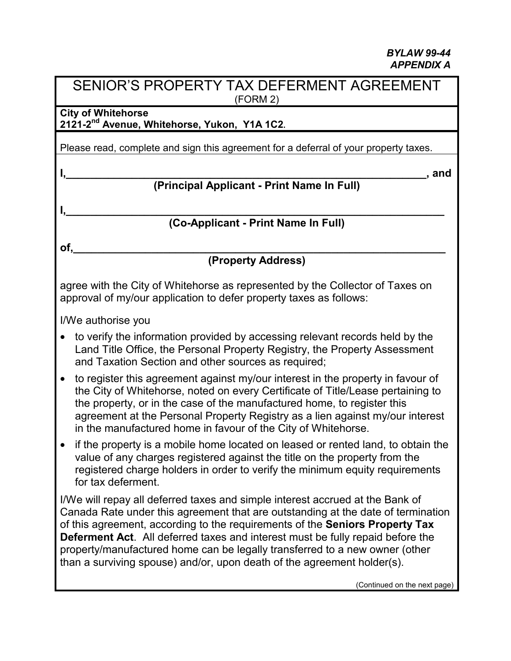## SENIOR'S PROPERTY TAX DEFERMENT AGREEMENT (FORM 2)

**City of Whitehorse 2121-2nd Avenue, Whitehorse, Yukon, Y1A 1C2.**

Please read, complete and sign this agreement for a deferral of your property taxes.

#### **I,\_\_\_\_\_\_\_\_\_\_\_\_\_\_\_\_\_\_\_\_\_\_\_\_\_\_\_\_\_\_\_\_\_\_\_\_\_\_\_\_\_\_\_\_\_\_\_\_\_\_\_\_\_\_\_\_\_\_\_\_, and (Principal Applicant - Print Name In Full)**

**I,\_\_\_\_\_\_\_\_\_\_\_\_\_\_\_\_\_\_\_\_\_\_\_\_\_\_\_\_\_\_\_\_\_\_\_\_\_\_\_\_\_\_\_\_\_\_\_\_\_\_\_\_\_\_\_\_\_\_\_\_\_\_\_ (Co-Applicant - Print Name In Full)**

**of,\_\_\_\_\_\_\_\_\_\_\_\_\_\_\_\_\_\_\_\_\_\_\_\_\_\_\_\_\_\_\_\_\_\_\_\_\_\_\_\_\_\_\_\_\_\_\_\_\_\_\_\_\_\_\_\_\_\_\_\_\_\_**

# **(Property Address)**

agree with the City of Whitehorse as represented by the Collector of Taxes on approval of my/our application to defer property taxes as follows:

I/We authorise you

- to verify the information provided by accessing relevant records held by the Land Title Office, the Personal Property Registry, the Property Assessment and Taxation Section and other sources as required;
- to register this agreement against my/our interest in the property in favour of the City of Whitehorse, noted on every Certificate of Title/Lease pertaining to the property, or in the case of the manufactured home, to register this agreement at the Personal Property Registry as a lien against my/our interest in the manufactured home in favour of the City of Whitehorse.
- if the property is a mobile home located on leased or rented land, to obtain the value of any charges registered against the title on the property from the registered charge holders in order to verify the minimum equity requirements for tax deferment.

I/We will repay all deferred taxes and simple interest accrued at the Bank of Canada Rate under this agreement that are outstanding at the date of termination of this agreement, according to the requirements of the **Seniors Property Tax Deferment Act**. All deferred taxes and interest must be fully repaid before the property/manufactured home can be legally transferred to a new owner (other than a surviving spouse) and/or, upon death of the agreement holder(s).

(Continued on the next page)